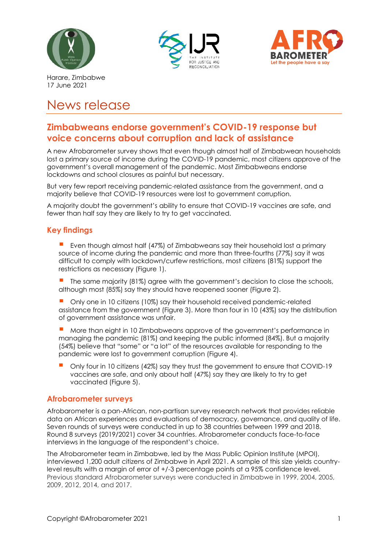





Harare, Zimbabwe 17 June 2021

# News release

# **Zimbabweans endorse government's COVID-19 response but voice concerns about corruption and lack of assistance**

A new Afrobarometer survey shows that even though almost half of Zimbabwean households lost a primary source of income during the COVID-19 pandemic, most citizens approve of the government's overall management of the pandemic. Most Zimbabweans endorse lockdowns and school closures as painful but necessary.

But very few report receiving pandemic-related assistance from the government, and a majority believe that COVID-19 resources were lost to government corruption.

A majority doubt the government's ability to ensure that COVID-19 vaccines are safe, and fewer than half say they are likely to try to get vaccinated.

## **Key findings**

- Even though almost half (47%) of Zimbabweans say their household lost a primary source of income during the pandemic and more than three-fourths (77%) say it was difficult to comply with lockdown/curfew restrictions, most citizens (81%) support the restrictions as necessary (Figure 1).
- The same majority (81%) agree with the government's decision to close the schools, although most (85%) say they should have reopened sooner (Figure 2).
- Only one in 10 citizens (10%) say their household received pandemic-related assistance from the government (Figure 3). More than four in 10 (43%) say the distribution of government assistance was unfair.
- More than eight in 10 Zimbabweans approve of the government's performance in managing the pandemic (81%) and keeping the public informed (84%). But a majority (54%) believe that "some" or "a lot" of the resources available for responding to the pandemic were lost to government corruption (Figure 4).
- Only four in 10 citizens (42%) say they trust the government to ensure that COVID-19 vaccines are safe, and only about half (47%) say they are likely to try to get vaccinated (Figure 5).

## **Afrobarometer surveys**

Afrobarometer is a pan-African, non-partisan survey research network that provides reliable data on African experiences and evaluations of democracy, governance, and quality of life. Seven rounds of surveys were conducted in up to 38 countries between 1999 and 2018. Round 8 surveys (2019/2021) cover 34 countries. Afrobarometer conducts face-to-face interviews in the language of the respondent's choice.

The Afrobarometer team in Zimbabwe, led by the Mass Public Opinion Institute (MPOI), interviewed 1,200 adult citizens of Zimbabwe in April 2021. A sample of this size yields countrylevel results with a margin of error of +/-3 percentage points at a 95% confidence level. Previous standard Afrobarometer surveys were conducted in Zimbabwe in 1999, 2004, 2005, 2009, 2012, 2014, and 2017.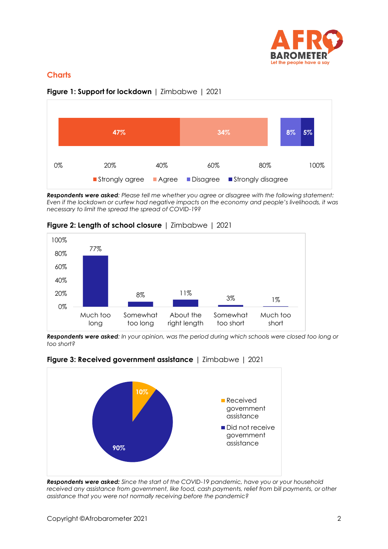

# **Charts**



**Figure 1: Support for lockdown** | Zimbabwe | 2021

*Respondents were asked: Please tell me whether you agree or disagree with the following statement: Even if the lockdown or curfew had negative impacts on the economy and people's livelihoods, it was necessary to limit the spread the spread of COVID-19?*



**Figure 2: Length of school closure** | Zimbabwe | 2021

*Respondents were asked: In your opinion, was the period during which schools were closed too long or too short?* 





*Respondents were asked: Since the start of the COVID-19 pandemic, have you or your household*  received any assistance from government, like food, cash payments, relief from bill payments, or other *assistance that you were not normally receiving before the pandemic?*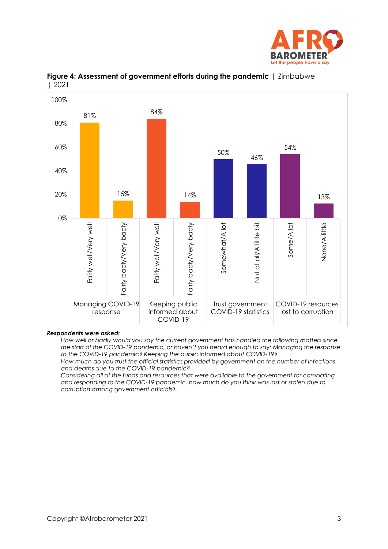



**Figure 4: Assessment of government efforts during the pandemic** | Zimbabwe | 2021

#### *Respondents were asked:*

*How well or badly would you say the current government has handled the following matters since the start of the COVID-19 pandemic, or haven't you heard enough to say: Managing the response to the COVID-19 pandemic? Keeping the public informed about COVID-19?*

*How much do you trust the official statistics provided by government on the number of infections and deaths due to the COVID-19 pandemic?*

*Considering all of the funds and resources that were available to the government for combating and responding to the COVID-19 pandemic, how much do you think was lost or stolen due to corruption among government officials?*